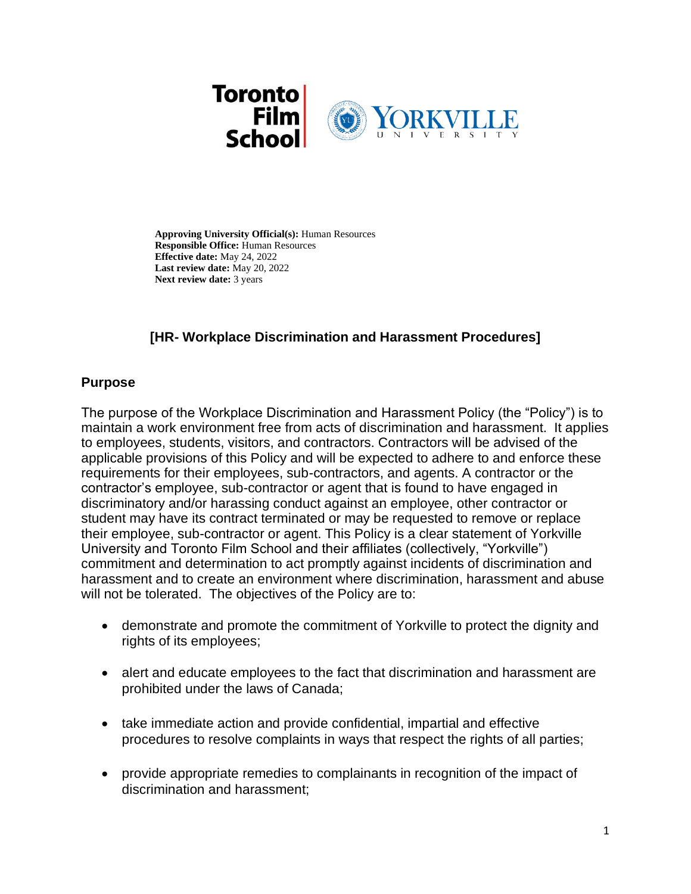

**Approving University Official(s):** Human Resources **Responsible Office:** Human Resources **Effective date:** May 24, 2022 **Last review date:** May 20, 2022 **Next review date:** 3 years

# **[HR- Workplace Discrimination and Harassment Procedures]**

### **Purpose**

The purpose of the Workplace Discrimination and Harassment Policy (the "Policy") is to maintain a work environment free from acts of discrimination and harassment. It applies to employees, students, visitors, and contractors. Contractors will be advised of the applicable provisions of this Policy and will be expected to adhere to and enforce these requirements for their employees, sub-contractors, and agents. A contractor or the contractor's employee, sub-contractor or agent that is found to have engaged in discriminatory and/or harassing conduct against an employee, other contractor or student may have its contract terminated or may be requested to remove or replace their employee, sub-contractor or agent. This Policy is a clear statement of Yorkville University and Toronto Film School and their affiliates (collectively, "Yorkville") commitment and determination to act promptly against incidents of discrimination and harassment and to create an environment where discrimination, harassment and abuse will not be tolerated. The objectives of the Policy are to:

- demonstrate and promote the commitment of Yorkville to protect the dignity and rights of its employees;
- alert and educate employees to the fact that discrimination and harassment are prohibited under the laws of Canada;
- take immediate action and provide confidential, impartial and effective procedures to resolve complaints in ways that respect the rights of all parties;
- provide appropriate remedies to complainants in recognition of the impact of discrimination and harassment;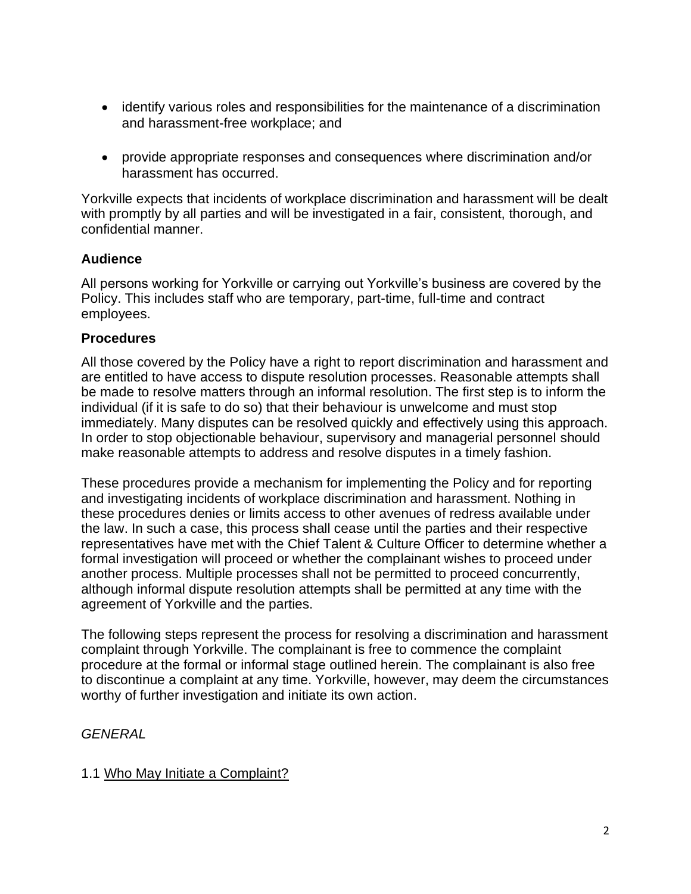- identify various roles and responsibilities for the maintenance of a discrimination and harassment-free workplace; and
- provide appropriate responses and consequences where discrimination and/or harassment has occurred.

Yorkville expects that incidents of workplace discrimination and harassment will be dealt with promptly by all parties and will be investigated in a fair, consistent, thorough, and confidential manner.

# **Audience**

All persons working for Yorkville or carrying out Yorkville's business are covered by the Policy. This includes staff who are temporary, part-time, full-time and contract employees.

## **Procedures**

All those covered by the Policy have a right to report discrimination and harassment and are entitled to have access to dispute resolution processes. Reasonable attempts shall be made to resolve matters through an informal resolution. The first step is to inform the individual (if it is safe to do so) that their behaviour is unwelcome and must stop immediately. Many disputes can be resolved quickly and effectively using this approach. In order to stop objectionable behaviour, supervisory and managerial personnel should make reasonable attempts to address and resolve disputes in a timely fashion.

These procedures provide a mechanism for implementing the Policy and for reporting and investigating incidents of workplace discrimination and harassment. Nothing in these procedures denies or limits access to other avenues of redress available under the law. In such a case, this process shall cease until the parties and their respective representatives have met with the Chief Talent & Culture Officer to determine whether a formal investigation will proceed or whether the complainant wishes to proceed under another process. Multiple processes shall not be permitted to proceed concurrently, although informal dispute resolution attempts shall be permitted at any time with the agreement of Yorkville and the parties.

The following steps represent the process for resolving a discrimination and harassment complaint through Yorkville. The complainant is free to commence the complaint procedure at the formal or informal stage outlined herein. The complainant is also free to discontinue a complaint at any time. Yorkville, however, may deem the circumstances worthy of further investigation and initiate its own action.

# *GENERAL*

# 1.1 Who May Initiate a Complaint?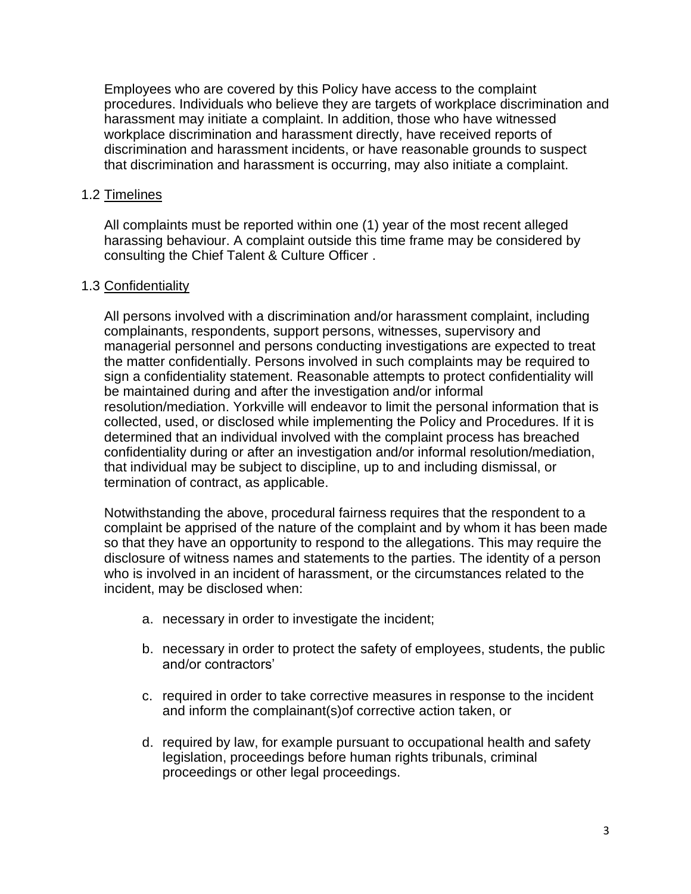Employees who are covered by this Policy have access to the complaint procedures. Individuals who believe they are targets of workplace discrimination and harassment may initiate a complaint. In addition, those who have witnessed workplace discrimination and harassment directly, have received reports of discrimination and harassment incidents, or have reasonable grounds to suspect that discrimination and harassment is occurring, may also initiate a complaint.

### 1.2 Timelines

All complaints must be reported within one (1) year of the most recent alleged harassing behaviour. A complaint outside this time frame may be considered by consulting the Chief Talent & Culture Officer .

### 1.3 Confidentiality

All persons involved with a discrimination and/or harassment complaint, including complainants, respondents, support persons, witnesses, supervisory and managerial personnel and persons conducting investigations are expected to treat the matter confidentially. Persons involved in such complaints may be required to sign a confidentiality statement. Reasonable attempts to protect confidentiality will be maintained during and after the investigation and/or informal resolution/mediation. Yorkville will endeavor to limit the personal information that is collected, used, or disclosed while implementing the Policy and Procedures. If it is determined that an individual involved with the complaint process has breached confidentiality during or after an investigation and/or informal resolution/mediation, that individual may be subject to discipline, up to and including dismissal, or termination of contract, as applicable.

Notwithstanding the above, procedural fairness requires that the respondent to a complaint be apprised of the nature of the complaint and by whom it has been made so that they have an opportunity to respond to the allegations. This may require the disclosure of witness names and statements to the parties. The identity of a person who is involved in an incident of harassment, or the circumstances related to the incident, may be disclosed when:

- a. necessary in order to investigate the incident;
- b. necessary in order to protect the safety of employees, students, the public and/or contractors'
- c. required in order to take corrective measures in response to the incident and inform the complainant(s)of corrective action taken, or
- d. required by law, for example pursuant to occupational health and safety legislation, proceedings before human rights tribunals, criminal proceedings or other legal proceedings.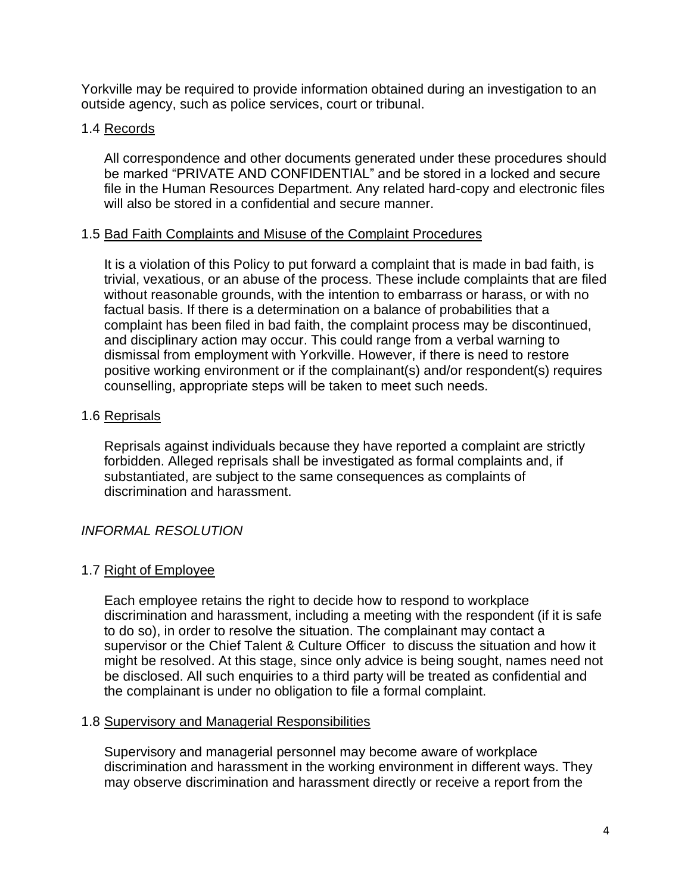Yorkville may be required to provide information obtained during an investigation to an outside agency, such as police services, court or tribunal.

### 1.4 Records

All correspondence and other documents generated under these procedures should be marked "PRIVATE AND CONFIDENTIAL" and be stored in a locked and secure file in the Human Resources Department. Any related hard-copy and electronic files will also be stored in a confidential and secure manner.

### 1.5 Bad Faith Complaints and Misuse of the Complaint Procedures

It is a violation of this Policy to put forward a complaint that is made in bad faith, is trivial, vexatious, or an abuse of the process. These include complaints that are filed without reasonable grounds, with the intention to embarrass or harass, or with no factual basis. If there is a determination on a balance of probabilities that a complaint has been filed in bad faith, the complaint process may be discontinued, and disciplinary action may occur. This could range from a verbal warning to dismissal from employment with Yorkville. However, if there is need to restore positive working environment or if the complainant(s) and/or respondent(s) requires counselling, appropriate steps will be taken to meet such needs.

### 1.6 Reprisals

Reprisals against individuals because they have reported a complaint are strictly forbidden. Alleged reprisals shall be investigated as formal complaints and, if substantiated, are subject to the same consequences as complaints of discrimination and harassment.

# *INFORMAL RESOLUTION*

### 1.7 Right of Employee

Each employee retains the right to decide how to respond to workplace discrimination and harassment, including a meeting with the respondent (if it is safe to do so), in order to resolve the situation. The complainant may contact a supervisor or the Chief Talent & Culture Officer to discuss the situation and how it might be resolved. At this stage, since only advice is being sought, names need not be disclosed. All such enquiries to a third party will be treated as confidential and the complainant is under no obligation to file a formal complaint.

### 1.8 Supervisory and Managerial Responsibilities

Supervisory and managerial personnel may become aware of workplace discrimination and harassment in the working environment in different ways. They may observe discrimination and harassment directly or receive a report from the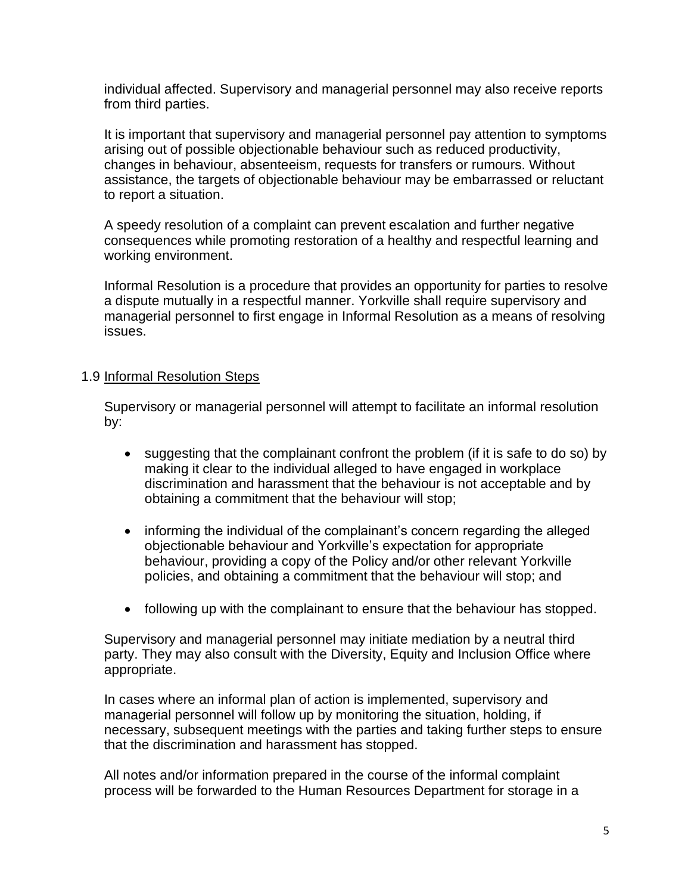individual affected. Supervisory and managerial personnel may also receive reports from third parties.

It is important that supervisory and managerial personnel pay attention to symptoms arising out of possible objectionable behaviour such as reduced productivity, changes in behaviour, absenteeism, requests for transfers or rumours. Without assistance, the targets of objectionable behaviour may be embarrassed or reluctant to report a situation.

A speedy resolution of a complaint can prevent escalation and further negative consequences while promoting restoration of a healthy and respectful learning and working environment.

Informal Resolution is a procedure that provides an opportunity for parties to resolve a dispute mutually in a respectful manner. Yorkville shall require supervisory and managerial personnel to first engage in Informal Resolution as a means of resolving issues.

### 1.9 Informal Resolution Steps

Supervisory or managerial personnel will attempt to facilitate an informal resolution by:

- suggesting that the complainant confront the problem (if it is safe to do so) by making it clear to the individual alleged to have engaged in workplace discrimination and harassment that the behaviour is not acceptable and by obtaining a commitment that the behaviour will stop;
- informing the individual of the complainant's concern regarding the alleged objectionable behaviour and Yorkville's expectation for appropriate behaviour, providing a copy of the Policy and/or other relevant Yorkville policies, and obtaining a commitment that the behaviour will stop; and
- following up with the complainant to ensure that the behaviour has stopped.

Supervisory and managerial personnel may initiate mediation by a neutral third party. They may also consult with the Diversity, Equity and Inclusion Office where appropriate.

In cases where an informal plan of action is implemented, supervisory and managerial personnel will follow up by monitoring the situation, holding, if necessary, subsequent meetings with the parties and taking further steps to ensure that the discrimination and harassment has stopped.

All notes and/or information prepared in the course of the informal complaint process will be forwarded to the Human Resources Department for storage in a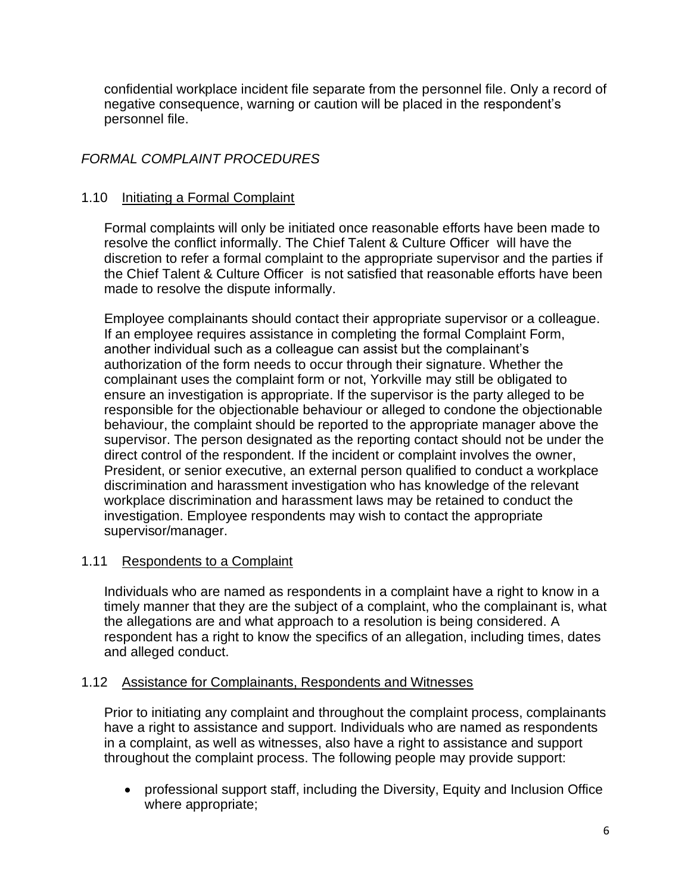confidential workplace incident file separate from the personnel file. Only a record of negative consequence, warning or caution will be placed in the respondent's personnel file.

# *FORMAL COMPLAINT PROCEDURES*

# 1.10 Initiating a Formal Complaint

Formal complaints will only be initiated once reasonable efforts have been made to resolve the conflict informally. The Chief Talent & Culture Officer will have the discretion to refer a formal complaint to the appropriate supervisor and the parties if the Chief Talent & Culture Officer is not satisfied that reasonable efforts have been made to resolve the dispute informally.

Employee complainants should contact their appropriate supervisor or a colleague. If an employee requires assistance in completing the formal Complaint Form, another individual such as a colleague can assist but the complainant's authorization of the form needs to occur through their signature. Whether the complainant uses the complaint form or not, Yorkville may still be obligated to ensure an investigation is appropriate. If the supervisor is the party alleged to be responsible for the objectionable behaviour or alleged to condone the objectionable behaviour, the complaint should be reported to the appropriate manager above the supervisor. The person designated as the reporting contact should not be under the direct control of the respondent. If the incident or complaint involves the owner, President, or senior executive, an external person qualified to conduct a workplace discrimination and harassment investigation who has knowledge of the relevant workplace discrimination and harassment laws may be retained to conduct the investigation. Employee respondents may wish to contact the appropriate supervisor/manager.

# 1.11 Respondents to a Complaint

Individuals who are named as respondents in a complaint have a right to know in a timely manner that they are the subject of a complaint, who the complainant is, what the allegations are and what approach to a resolution is being considered. A respondent has a right to know the specifics of an allegation, including times, dates and alleged conduct.

### 1.12 Assistance for Complainants, Respondents and Witnesses

Prior to initiating any complaint and throughout the complaint process, complainants have a right to assistance and support. Individuals who are named as respondents in a complaint, as well as witnesses, also have a right to assistance and support throughout the complaint process. The following people may provide support:

• professional support staff, including the Diversity, Equity and Inclusion Office where appropriate;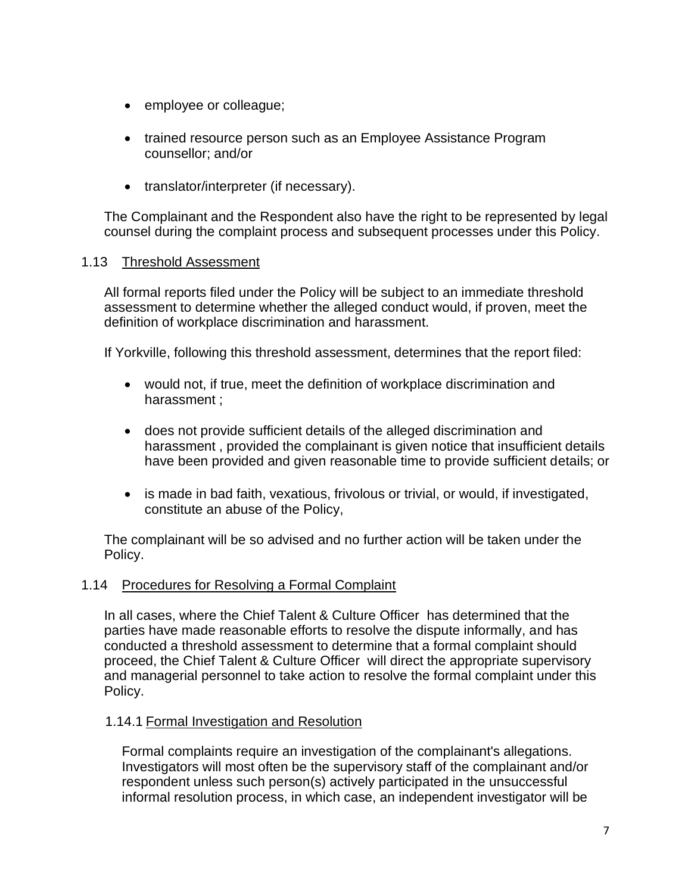- employee or colleague;
- trained resource person such as an Employee Assistance Program counsellor; and/or
- translator/interpreter (if necessary).

The Complainant and the Respondent also have the right to be represented by legal counsel during the complaint process and subsequent processes under this Policy.

### 1.13 Threshold Assessment

All formal reports filed under the Policy will be subject to an immediate threshold assessment to determine whether the alleged conduct would, if proven, meet the definition of workplace discrimination and harassment.

If Yorkville, following this threshold assessment, determines that the report filed:

- would not, if true, meet the definition of workplace discrimination and harassment ;
- does not provide sufficient details of the alleged discrimination and harassment , provided the complainant is given notice that insufficient details have been provided and given reasonable time to provide sufficient details; or
- is made in bad faith, vexatious, frivolous or trivial, or would, if investigated, constitute an abuse of the Policy,

The complainant will be so advised and no further action will be taken under the Policy.

### 1.14 Procedures for Resolving a Formal Complaint

In all cases, where the Chief Talent & Culture Officer has determined that the parties have made reasonable efforts to resolve the dispute informally, and has conducted a threshold assessment to determine that a formal complaint should proceed, the Chief Talent & Culture Officer will direct the appropriate supervisory and managerial personnel to take action to resolve the formal complaint under this Policy.

### 1.14.1 Formal Investigation and Resolution

Formal complaints require an investigation of the complainant's allegations. Investigators will most often be the supervisory staff of the complainant and/or respondent unless such person(s) actively participated in the unsuccessful informal resolution process, in which case, an independent investigator will be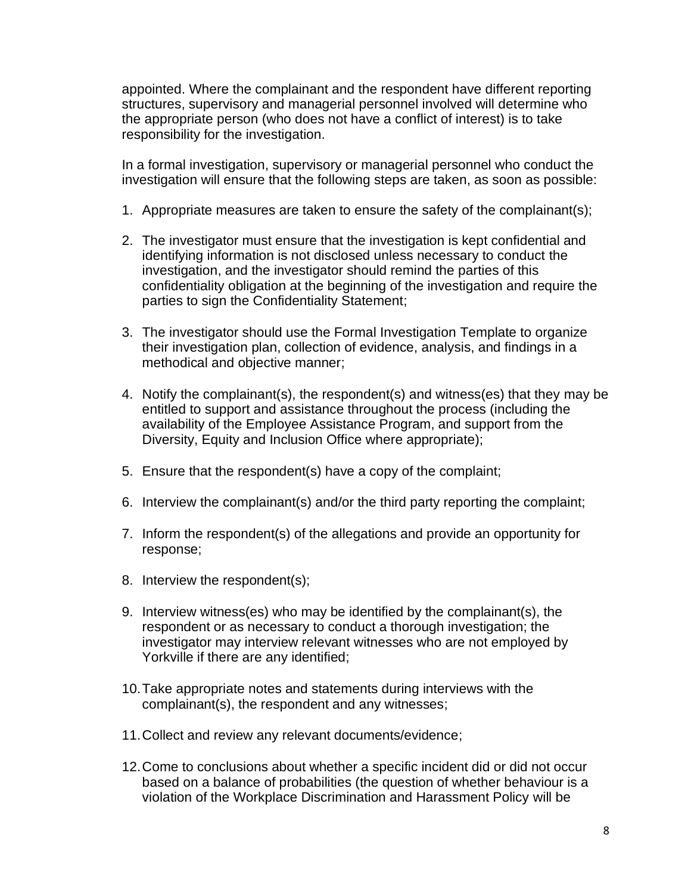appointed. Where the complainant and the respondent have different reporting structures, supervisory and managerial personnel involved will determine who the appropriate person (who does not have a conflict of interest) is to take responsibility for the investigation.

In a formal investigation, supervisory or managerial personnel who conduct the investigation will ensure that the following steps are taken, as soon as possible:

- 1. Appropriate measures are taken to ensure the safety of the complainant(s);
- 2. The investigator must ensure that the investigation is kept confidential and identifying information is not disclosed unless necessary to conduct the investigation, and the investigator should remind the parties of this confidentiality obligation at the beginning of the investigation and require the parties to sign the Confidentiality Statement;
- 3. The investigator should use the Formal Investigation Template to organize their investigation plan, collection of evidence, analysis, and findings in a methodical and objective manner;
- 4. Notify the complainant(s), the respondent(s) and witness(es) that they may be entitled to support and assistance throughout the process (including the availability of the Employee Assistance Program, and support from the Diversity, Equity and Inclusion Office where appropriate);
- 5. Ensure that the respondent(s) have a copy of the complaint;
- 6. Interview the complainant(s) and/or the third party reporting the complaint;
- 7. Inform the respondent(s) of the allegations and provide an opportunity for response;
- 8. Interview the respondent(s);
- 9. Interview witness(es) who may be identified by the complainant(s), the respondent or as necessary to conduct a thorough investigation; the investigator may interview relevant witnesses who are not employed by Yorkville if there are any identified;
- 10.Take appropriate notes and statements during interviews with the complainant(s), the respondent and any witnesses;
- 11.Collect and review any relevant documents/evidence;
- 12.Come to conclusions about whether a specific incident did or did not occur based on a balance of probabilities (the question of whether behaviour is a violation of the Workplace Discrimination and Harassment Policy will be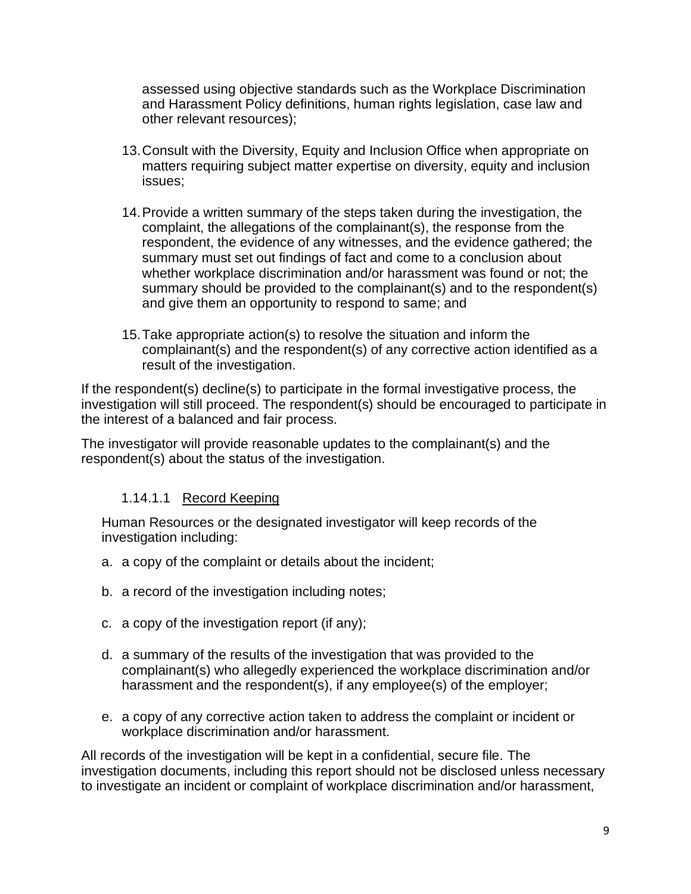assessed using objective standards such as the Workplace Discrimination and Harassment Policy definitions, human rights legislation, case law and other relevant resources);

- 13.Consult with the Diversity, Equity and Inclusion Office when appropriate on matters requiring subject matter expertise on diversity, equity and inclusion issues;
- 14.Provide a written summary of the steps taken during the investigation, the complaint, the allegations of the complainant(s), the response from the respondent, the evidence of any witnesses, and the evidence gathered; the summary must set out findings of fact and come to a conclusion about whether workplace discrimination and/or harassment was found or not; the summary should be provided to the complainant(s) and to the respondent(s) and give them an opportunity to respond to same; and
- 15.Take appropriate action(s) to resolve the situation and inform the complainant(s) and the respondent(s) of any corrective action identified as a result of the investigation.

If the respondent(s) decline(s) to participate in the formal investigative process, the investigation will still proceed. The respondent(s) should be encouraged to participate in the interest of a balanced and fair process.

The investigator will provide reasonable updates to the complainant(s) and the respondent(s) about the status of the investigation.

# 1.14.1.1 Record Keeping

Human Resources or the designated investigator will keep records of the investigation including:

- a. a copy of the complaint or details about the incident;
- b. a record of the investigation including notes;
- c. a copy of the investigation report (if any);
- d. a summary of the results of the investigation that was provided to the complainant(s) who allegedly experienced the workplace discrimination and/or harassment and the respondent(s), if any employee(s) of the employer;
- e. a copy of any corrective action taken to address the complaint or incident or workplace discrimination and/or harassment.

All records of the investigation will be kept in a confidential, secure file. The investigation documents, including this report should not be disclosed unless necessary to investigate an incident or complaint of workplace discrimination and/or harassment,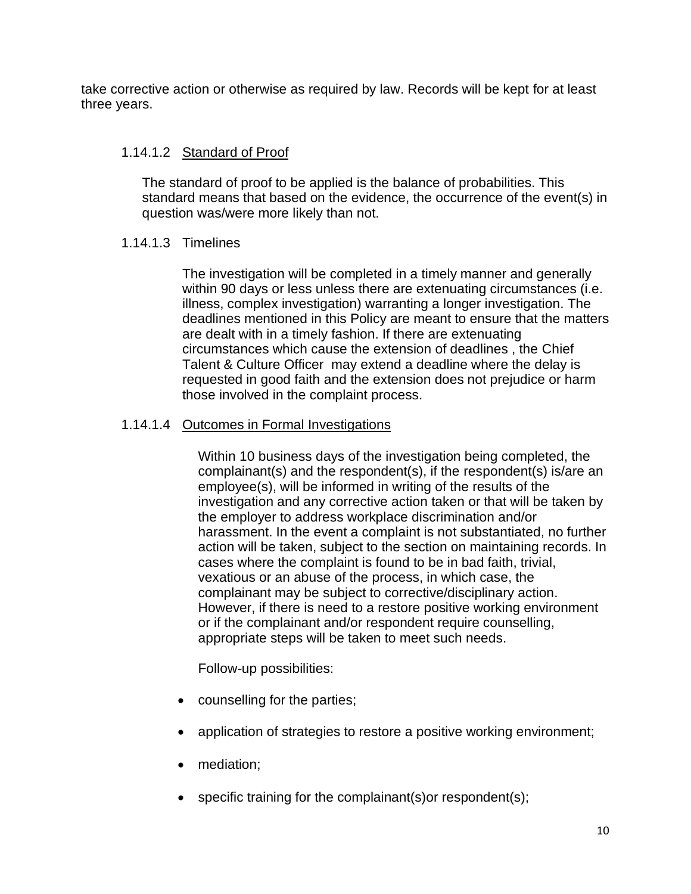take corrective action or otherwise as required by law. Records will be kept for at least three years.

## 1.14.1.2 Standard of Proof

The standard of proof to be applied is the balance of probabilities. This standard means that based on the evidence, the occurrence of the event(s) in question was/were more likely than not.

### 1.14.1.3 Timelines

The investigation will be completed in a timely manner and generally within 90 days or less unless there are extenuating circumstances (i.e. illness, complex investigation) warranting a longer investigation. The deadlines mentioned in this Policy are meant to ensure that the matters are dealt with in a timely fashion. If there are extenuating circumstances which cause the extension of deadlines , the Chief Talent & Culture Officer may extend a deadline where the delay is requested in good faith and the extension does not prejudice or harm those involved in the complaint process.

### 1.14.1.4 Outcomes in Formal Investigations

Within 10 business days of the investigation being completed, the complainant(s) and the respondent(s), if the respondent(s) is/are an employee(s), will be informed in writing of the results of the investigation and any corrective action taken or that will be taken by the employer to address workplace discrimination and/or harassment. In the event a complaint is not substantiated, no further action will be taken, subject to the section on maintaining records. In cases where the complaint is found to be in bad faith, trivial, vexatious or an abuse of the process, in which case, the complainant may be subject to corrective/disciplinary action. However, if there is need to a restore positive working environment or if the complainant and/or respondent require counselling, appropriate steps will be taken to meet such needs.

Follow-up possibilities:

- counselling for the parties;
- application of strategies to restore a positive working environment;
- mediation:
- specific training for the complainant(s) or respondent(s);